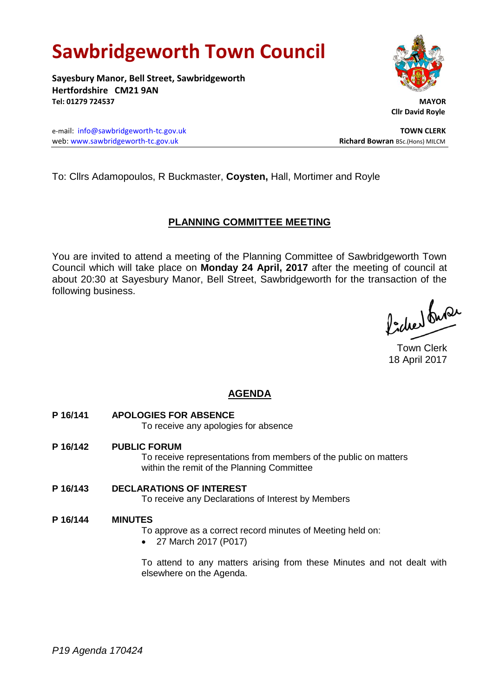# **Sawbridgeworth Town Council**

**Sayesbury Manor, Bell Street, Sawbridgeworth Hertfordshire CM21 9AN Tel: 01279 724537 MAYOR**

e-mail: [info@sawbridgeworth-tc.gov.uk](mailto:info@sawbridgeworth-tc.gov.uk) **TOWN CLERK** web: www.sawbridgeworth-tc.gov.uk **Richard Bowran** BSc.(Hons) MILCM



 **Cllr David Royle**

To: Cllrs Adamopoulos, R Buckmaster, **Coysten,** Hall, Mortimer and Royle

## **PLANNING COMMITTEE MEETING**

You are invited to attend a meeting of the Planning Committee of Sawbridgeworth Town Council which will take place on **Monday 24 April, 2017** after the meeting of council at about 20:30 at Sayesbury Manor, Bell Street, Sawbridgeworth for the transaction of the following business.

lacher buse

Town Clerk 18 April 2017

# **AGENDA**

**P 16/141 APOLOGIES FOR ABSENCE**

To receive any apologies for absence

**P 16/142 PUBLIC FORUM**

To receive representations from members of the public on matters within the remit of the Planning Committee

**P 16/143 DECLARATIONS OF INTEREST** To receive any Declarations of Interest by Members

## **P 16/144 MINUTES**

To approve as a correct record minutes of Meeting held on:

27 March 2017 (P017)

To attend to any matters arising from these Minutes and not dealt with elsewhere on the Agenda.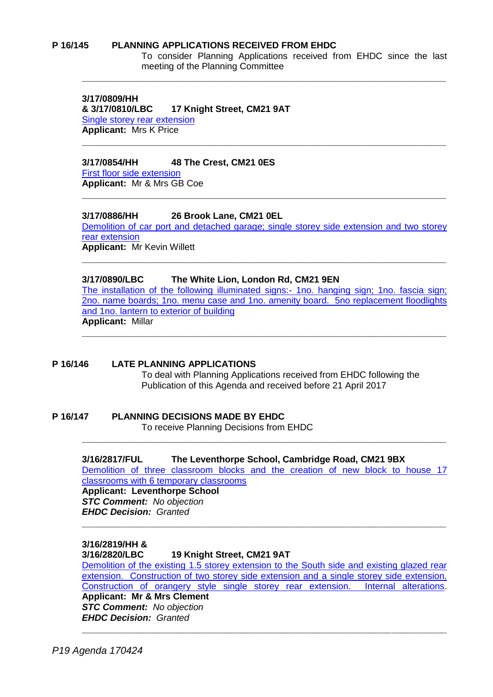#### **P 16/145 PLANNING APPLICATIONS RECEIVED FROM EHDC**

To consider Planning Applications received from EHDC since the last meeting of the Planning Committee

**3/17/0809/HH & 3/17/0810/LBC 17 Knight Street, CM21 9AT** [Single storey rear extension](https://publicaccess.eastherts.gov.uk/online-applications/applicationDetails.do?activeTab=summary&keyVal=ONPY7NGLGA300) **Applicant:** Mrs K Price

#### **3/17/0854/HH 48 The Crest, CM21 0ES**

[First floor side extension](https://publicaccess.eastherts.gov.uk/online-applications/applicationDetails.do?activeTab=summary&keyVal=ONZDU9GL00X00) **Applicant:** Mr & Mrs GB Coe

#### **3/17/0886/HH 26 Brook Lane, CM21 0EL**

[Demolition of car port and detached garage; single storey side extension and two storey](https://publicaccess.eastherts.gov.uk/online-applications/applicationDetails.do?activeTab=summary&keyVal=OO78GCGLGDX00)  [rear extension](https://publicaccess.eastherts.gov.uk/online-applications/applicationDetails.do?activeTab=summary&keyVal=OO78GCGLGDX00) **Applicant:** Mr Kevin Willett

**\_\_\_\_\_\_\_\_\_\_\_\_\_\_\_\_\_\_\_\_\_\_\_\_\_\_\_\_\_\_\_\_\_\_\_\_\_\_\_\_\_\_\_\_\_\_\_\_\_\_\_\_\_\_\_\_\_\_\_\_\_\_\_\_\_\_**

**\_\_\_\_\_\_\_\_\_\_\_\_\_\_\_\_\_\_\_\_\_\_\_\_\_\_\_\_\_\_\_\_\_\_\_\_\_\_\_\_\_\_\_\_\_\_\_\_\_\_\_\_\_\_\_\_\_\_\_\_\_\_\_\_\_\_**

**\_\_\_\_\_\_\_\_\_\_\_\_\_\_\_\_\_\_\_\_\_\_\_\_\_\_\_\_\_\_\_\_\_\_\_\_\_\_\_\_\_\_\_\_\_\_\_\_\_\_\_\_\_\_\_\_\_\_\_\_\_\_\_\_\_\_**

**\_\_\_\_\_\_\_\_\_\_\_\_\_\_\_\_\_\_\_\_\_\_\_\_\_\_\_\_\_\_\_\_\_\_\_\_\_\_\_\_\_\_\_\_\_\_\_\_\_\_\_\_\_\_\_\_\_\_\_\_\_\_\_\_\_\_**

#### **3/17/0890/LBC The White Lion, London Rd, CM21 9EN**

[The installation of the following illuminated signs:-](https://publicaccess.eastherts.gov.uk/online-applications/applicationDetails.do?activeTab=summary&keyVal=OO8GUJGLGE600) 1no. hanging sign; 1no. fascia sign; [2no. name boards; 1no. menu case and 1no. amenity board. 5no replacement floodlights](https://publicaccess.eastherts.gov.uk/online-applications/applicationDetails.do?activeTab=summary&keyVal=OO8GUJGLGE600)  [and 1no. lantern to exterior of building](https://publicaccess.eastherts.gov.uk/online-applications/applicationDetails.do?activeTab=summary&keyVal=OO8GUJGLGE600) **Applicant:** Millar

**\_\_\_\_\_\_\_\_\_\_\_\_\_\_\_\_\_\_\_\_\_\_\_\_\_\_\_\_\_\_\_\_\_\_\_\_\_\_\_\_\_\_\_\_\_\_\_\_\_\_\_\_\_\_\_\_\_\_\_\_\_\_\_\_\_\_**

**P 16/146 LATE PLANNING APPLICATIONS** To deal with Planning Applications received from EHDC following the Publication of this Agenda and received before 21 April 2017

**P 16/147 PLANNING DECISIONS MADE BY EHDC** To receive Planning Decisions from EHDC

> **3/16/2817/FUL The Leventhorpe School, Cambridge Road, CM21 9BX** [Demolition of three classroom blocks and the creation of new block to house 17](https://publicaccess.eastherts.gov.uk/online-applications/simpleSearchResults.do?action=firstPage)

> **\_\_\_\_\_\_\_\_\_\_\_\_\_\_\_\_\_\_\_\_\_\_\_\_\_\_\_\_\_\_\_\_\_\_\_\_\_\_\_\_\_\_\_\_\_\_\_\_\_\_\_\_\_\_\_\_\_\_\_\_\_\_\_\_\_\_**

**\_\_\_\_\_\_\_\_\_\_\_\_\_\_\_\_\_\_\_\_\_\_\_\_\_\_\_\_\_\_\_\_\_\_\_\_\_\_\_\_\_\_\_\_\_\_\_\_\_\_\_\_\_\_\_\_\_\_\_\_\_\_\_\_\_\_**

[classrooms with 6 temporary classrooms](https://publicaccess.eastherts.gov.uk/online-applications/simpleSearchResults.do?action=firstPage) **Applicant: Leventhorpe School** *STC Comment: No objection EHDC Decision: Granted* 

#### **3/16/2819/HH &**

#### **3/16/2820/LBC 19 Knight Street, CM21 9AT**

[Demolition of the existing 1.5 storey extension to the South side and existing glazed rear](https://publicaccess.eastherts.gov.uk/online-applications/simpleSearchResults.do?action=firstPage)  [extension. Construction of two storey side extension and](https://publicaccess.eastherts.gov.uk/online-applications/simpleSearchResults.do?action=firstPage) a single storey side extension. [Construction of orangery style single storey rear extension. Internal alterations.](https://publicaccess.eastherts.gov.uk/online-applications/simpleSearchResults.do?action=firstPage) **Applicant: Mr & Mrs Clement** *STC Comment: No objection EHDC Decision: Granted* 

**\_\_\_\_\_\_\_\_\_\_\_\_\_\_\_\_\_\_\_\_\_\_\_\_\_\_\_\_\_\_\_\_\_\_\_\_\_\_\_\_\_\_\_\_\_\_\_\_\_\_\_\_\_\_\_\_\_\_\_\_\_\_\_\_\_\_**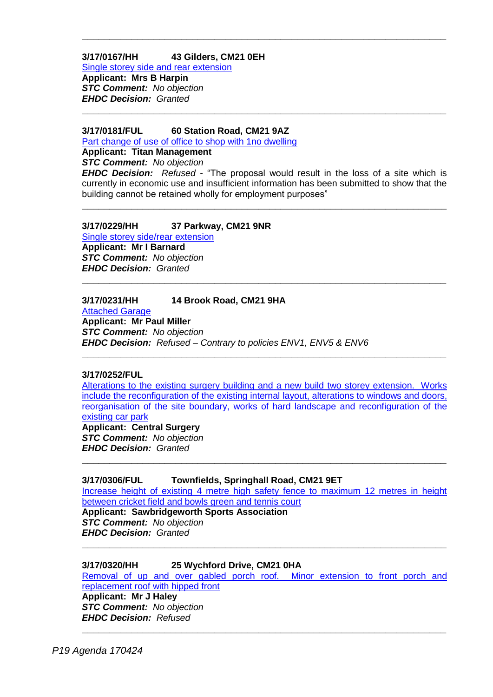## **3/17/0167/HH 43 Gilders, CM21 0EH**

[Single storey side and rear extension](https://publicaccess.eastherts.gov.uk/online-applications/applicationDetails.do?activeTab=summary&keyVal=OK8QMFGL00700) **Applicant: Mrs B Harpin** *STC Comment: No objection EHDC Decision: Granted* 

#### **3/17/0181/FUL 60 Station Road, CM21 9AZ**

[Part change of use of office to shop with 1no dwelling](https://publicaccess.eastherts.gov.uk/online-applications/applicationDetails.do?activeTab=summary&keyVal=OKC2D5GL00700)

**Applicant: Titan Management**

*STC Comment: No objection*

*EHDC Decision: Refused -* "The proposal would result in the loss of a site which is currently in economic use and insufficient information has been submitted to show that the building cannot be retained wholly for employment purposes"

**\_\_\_\_\_\_\_\_\_\_\_\_\_\_\_\_\_\_\_\_\_\_\_\_\_\_\_\_\_\_\_\_\_\_\_\_\_\_\_\_\_\_\_\_\_\_\_\_\_\_\_\_\_\_\_\_\_\_\_\_\_\_\_\_\_\_**

**\_\_\_\_\_\_\_\_\_\_\_\_\_\_\_\_\_\_\_\_\_\_\_\_\_\_\_\_\_\_\_\_\_\_\_\_\_\_\_\_\_\_\_\_\_\_\_\_\_\_\_\_\_\_\_\_\_\_\_\_\_\_\_\_\_\_**

**\_\_\_\_\_\_\_\_\_\_\_\_\_\_\_\_\_\_\_\_\_\_\_\_\_\_\_\_\_\_\_\_\_\_\_\_\_\_\_\_\_\_\_\_\_\_\_\_\_\_\_\_\_\_\_\_\_\_\_\_\_\_\_\_\_\_**

**\_\_\_\_\_\_\_\_\_\_\_\_\_\_\_\_\_\_\_\_\_\_\_\_\_\_\_\_\_\_\_\_\_\_\_\_\_\_\_\_\_\_\_\_\_\_\_\_\_\_\_\_\_\_\_\_\_\_\_\_\_\_\_\_\_\_**

## **3/17/0229/HH 37 Parkway, CM21 9NR**

[Single storey side/rear extension](https://publicaccess.eastherts.gov.uk/online-applications/applicationDetails.do?activeTab=summary&keyVal=OKLM8DGL00X00) **Applicant: Mr I Barnard** *STC Comment: No objection EHDC Decision: Granted*

## **3/17/0231/HH 14 Brook Road, CM21 9HA**

[Attached Garage](https://publicaccess.eastherts.gov.uk/online-applications/applicationDetails.do?activeTab=summary&keyVal=OKLOKCGLN3T00) **Applicant: Mr Paul Miller** *STC Comment: No objection EHDC Decision: Refused – Contrary to policies ENV1, ENV5 & ENV6*

#### **3/17/0252/FUL**

[Alterations to the existing surgery building and a new build two storey extension. Works](https://publicaccess.eastherts.gov.uk/online-applications/applicationDetails.do?activeTab=summary&keyVal=OKP2WEGLN4V00)  [include the reconfiguration of the existing internal](https://publicaccess.eastherts.gov.uk/online-applications/applicationDetails.do?activeTab=summary&keyVal=OKP2WEGLN4V00) layout, alterations to windows and doors, [reorganisation of the site boundary, works of hard landscape](https://publicaccess.eastherts.gov.uk/online-applications/applicationDetails.do?activeTab=summary&keyVal=OKP2WEGLN4V00) and reconfiguration of the [existing car park](https://publicaccess.eastherts.gov.uk/online-applications/applicationDetails.do?activeTab=summary&keyVal=OKP2WEGLN4V00)

**\_\_\_\_\_\_\_\_\_\_\_\_\_\_\_\_\_\_\_\_\_\_\_\_\_\_\_\_\_\_\_\_\_\_\_\_\_\_\_\_\_\_\_\_\_\_\_\_\_\_\_\_\_\_\_\_\_\_\_\_\_\_\_\_\_\_**

**Applicant: Central Surgery** *STC Comment: No objection EHDC Decision: Granted*

## **3/17/0306/FUL Townfields, Springhall Road, CM21 9ET**

[Increase height of existing 4 metre high safety fence to maximum 12 metres in height](https://publicaccess.eastherts.gov.uk/online-applications/applicationDetails.do?activeTab=summary&keyVal=OL1X9XGL00X00)  [between cricket field and bowls green and tennis court](https://publicaccess.eastherts.gov.uk/online-applications/applicationDetails.do?activeTab=summary&keyVal=OL1X9XGL00X00) **Applicant: Sawbridgeworth Sports Association** *STC Comment: No objection EHDC Decision: Granted*

**\_\_\_\_\_\_\_\_\_\_\_\_\_\_\_\_\_\_\_\_\_\_\_\_\_\_\_\_\_\_\_\_\_\_\_\_\_\_\_\_\_\_\_\_\_\_\_\_\_\_\_\_\_\_\_\_\_\_\_\_\_\_\_\_\_\_**

**\_\_\_\_\_\_\_\_\_\_\_\_\_\_\_\_\_\_\_\_\_\_\_\_\_\_\_\_\_\_\_\_\_\_\_\_\_\_\_\_\_\_\_\_\_\_\_\_\_\_\_\_\_\_\_\_\_\_\_\_\_\_\_\_\_\_**

## **3/17/0320/HH 25 Wychford Drive, CM21 0HA**

[Removal of up and over gabled porch roof. Minor extension to front porch and](https://publicaccess.eastherts.gov.uk/online-applications/applicationDetails.do?activeTab=summary&keyVal=OL3RWZGL00X00)  [replacement roof with hipped front](https://publicaccess.eastherts.gov.uk/online-applications/applicationDetails.do?activeTab=summary&keyVal=OL3RWZGL00X00)

**\_\_\_\_\_\_\_\_\_\_\_\_\_\_\_\_\_\_\_\_\_\_\_\_\_\_\_\_\_\_\_\_\_\_\_\_\_\_\_\_\_\_\_\_\_\_\_\_\_\_\_\_\_\_\_\_\_\_\_\_\_\_\_\_\_\_**

**Applicant: Mr J Haley** *STC Comment: No objection EHDC Decision: Refused*